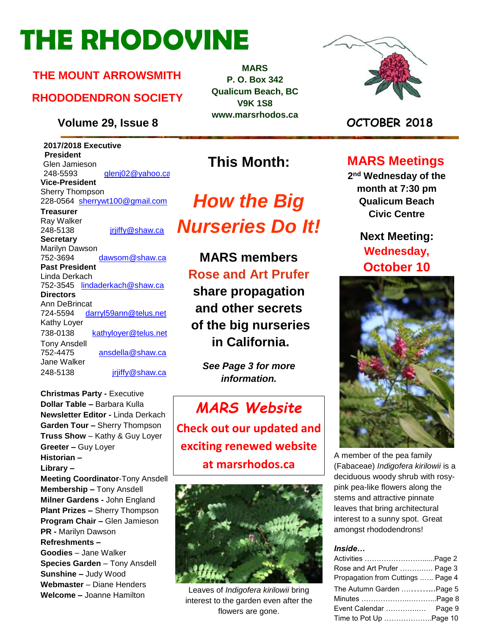# **THE RHODOVINE**

## **THE MOUNT ARROWSMITH**

## **RHODODENDRON SOCIETY**

## **Volume 29, Issue 8 OCTOBER 2018**

**2 2017/2018 Executive President** Glen Jamieson 248-5593 [glenj02@yahoo.ca](mailto:glenj02@yahoo.ca) **Vice-President** Sherry Thompson

228-0564 [sherrywt100@gmail.com](mailto:sherrywt100@gmail.com)

**Treasurer** Ray Walker<br>248-5138

[jrjiffy@shaw.ca](mailto:jrjiffy@shaw.ca)

**Secretary** Marilyn Dawson<br>752-3694 dawsom@shaw.ca **Past President** Linda Derkach 752-3545 [lindaderkach@shaw.ca](mailto:lindaderkach@shaw.ca) **Directors**  Ann DeBrincat

724-5594 [darryl59ann@telus.net](mailto:darryl59ann@telus.net) Kathy Loyer 738-0138 [kathyloyer@telus.net](mailto:kathyloyer@telus.net) Tony Ansdell<br>752-4475 [ansdella@shaw.ca](mailto:ansdella@shaw.ca) Jane Walker 248-5138 [jrjiffy@shaw.ca](mailto:jrjiffy@shaw.ca)

**Christmas Party -** Executive **Dollar Table –** Barbara Kulla **Newsletter Editor -** Linda Derkach **Garden Tour –** Sherry Thompson **Truss Show** – Kathy & Guy Loyer **Greeter –** Guy Loyer **Historian – Library – Meeting Coordinator**-Tony Ansdell **Membership –** Tony Ansdell **Milner Gardens -** John England **Plant Prizes –** Sherry Thompson **Program Chair –** Glen Jamieson **PR -** Marilyn Dawson **Refreshments – Goodies** – Jane Walker **Species Garden** – Tony Ansdell **Sunshine –** Judy Wood **Webmaster** – Diane Henders **Welcome –** Joanne Hamilton

**MARS P. O. Box 342 Qualicum Beach, BC V9K 1S8 www.marsrhodos.ca**

**This Month:** 

*How the Big Nurseries Do It!*

**MARS members Rose and Art Prufer share propagation and other secrets of the big nurseries in California.**

> *See Page 3 for more information.*

*MARS Website* **Check out our updated and exciting renewed website at marsrhodos.ca**



Leaves of *Indigofera kirilowii* bring interest to the garden even after the flowers are gone.



## **MARS Meetings**

**2 nd Wednesday of the month at 7:30 pm Qualicum Beach Civic Centre**

## **Next Meeting: Wednesday, October 10**



A member of the pea family (Fabaceae) *Indigofera kirilowii* is a deciduous woody shrub with rosypink pea-like flowers along the stems and attractive pinnate leaves that bring architectural interest to a sunny spot. Great amongst rhododendrons!

#### *Inside…*

| Rose and Art Prufer  Page 3       |  |
|-----------------------------------|--|
| Propagation from Cuttings  Page 4 |  |
| The Autumn Garden Page 5          |  |
| Minutes Page 8                    |  |
| Event Calendar  Page 9            |  |
| Time to Pot Up Page 10            |  |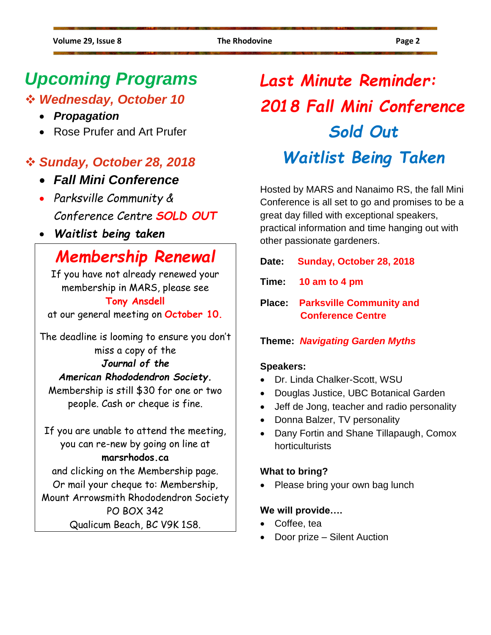# *Upcoming Programs*

❖ *Wednesday, October 10*

- *Propagation*
- Rose Prufer and Art Prufer

## ❖ *Sunday, October 28, 2018*

- *Fall Mini Conference*
- *Parksville Community & Conference Centre SOLD OUT*
- *Waitlist being taken*

## *Membership Renewal*

If you have not already renewed your membership in MARS, please see **Tony Ansdell**

at our general meeting on **October 10.**

The deadline is looming to ensure you don't miss a copy of the *Journal of the American Rhododendron Society.*

Membership is still \$30 for one or two people. Cash or cheque is fine.

If you are unable to attend the meeting, you can re-new by going on line at **marsrhodos.ca** 

and clicking on the Membership page. Or mail your cheque to: Membership, Mount Arrowsmith Rhododendron Society PO BOX 342 Qualicum Beach, BC V9K 1S8.

# *Last Minute Reminder: 2018 Fall Mini Conference Sold Out Waitlist Being Taken*

Hosted by MARS and Nanaimo RS, the fall Mini Conference is all set to go and promises to be a great day filled with exceptional speakers, practical information and time hanging out with other passionate gardeners.

| Date: Sunday, October 28, 2018                                     |
|--------------------------------------------------------------------|
| Time: 10 am to 4 pm                                                |
| <b>Place:</b> Parksville Community and<br><b>Conference Centre</b> |

## **Theme:** *Navigating Garden Myths*

#### **Speakers:**

- Dr. Linda Chalker-Scott, WSU
- Douglas Justice, UBC Botanical Garden
- Jeff de Jong, teacher and radio personality
- Donna Balzer, TV personality
- Dany Fortin and Shane Tillapaugh, Comox horticulturists

### **What to bring?**

Please bring your own bag lunch

#### **We will provide….**

- Coffee, tea
- Door prize Silent Auction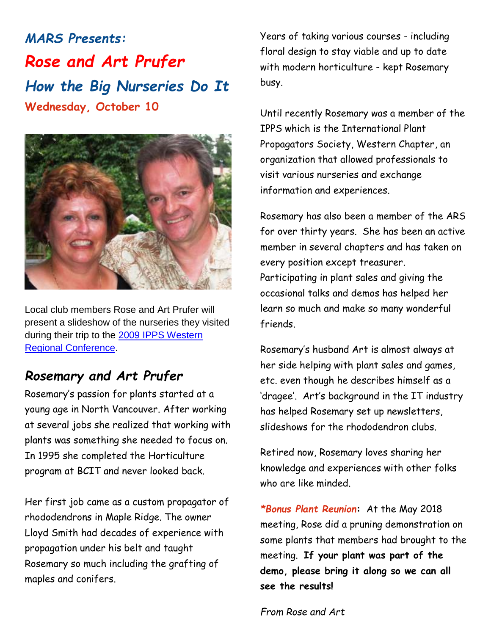*MARS Presents: Rose and Art Prufer How the Big Nurseries Do It* **Wednesday, October 10**



Local club members Rose and Art Prufer will present a slideshow of the nurseries they visited during their trip to the [2009 IPPS Western](http://www.ipps.org/)  [Regional Conference.](http://www.ipps.org/)

## *Rosemary and Art Prufer*

Rosemary's passion for plants started at a young age in North Vancouver. After working at several jobs she realized that working with plants was something she needed to focus on. In 1995 she completed the Horticulture program at BCIT and never looked back.

Her first job came as a custom propagator of rhododendrons in Maple Ridge. The owner Lloyd Smith had decades of experience with propagation under his belt and taught Rosemary so much including the grafting of maples and conifers.

Years of taking various courses - including floral design to stay viable and up to date with modern horticulture - kept Rosemary busy.

Until recently Rosemary was a member of the IPPS which is the International Plant Propagators Society, Western Chapter, an organization that allowed professionals to visit various nurseries and exchange information and experiences.

Rosemary has also been a member of the ARS for over thirty years. She has been an active member in several chapters and has taken on every position except treasurer. Participating in plant sales and giving the occasional talks and demos has helped her learn so much and make so many wonderful friends.

Rosemary's husband Art is almost always at her side helping with plant sales and games, etc. even though he describes himself as a 'dragee'. Art's background in the IT industry has helped Rosemary set up newsletters, slideshows for the rhododendron clubs.

Retired now, Rosemary loves sharing her knowledge and experiences with other folks who are like minded.

*\*Bonus Plant Reunion***:** At the May 2018 meeting, Rose did a pruning demonstration on some plants that members had brought to the meeting. **If your plant was part of the demo, please bring it along so we can all see the results!**

*From Rose and Art*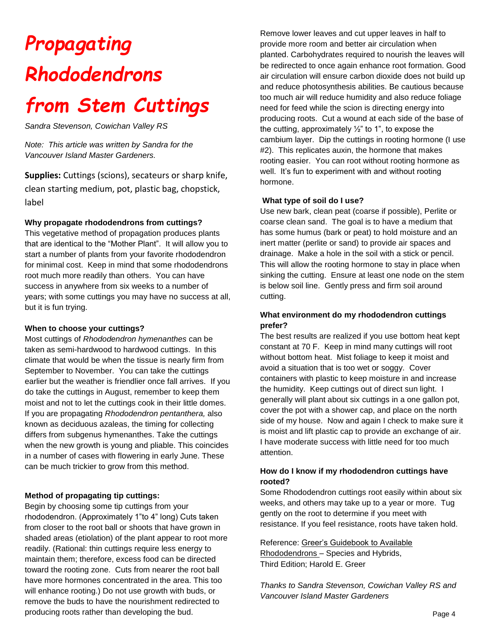# *Propagating Rhododendrons from Stem Cuttings*

*Sandra Stevenson, Cowichan Valley RS*

*Note: This article was written by Sandra for the Vancouver Island Master Gardeners.* 

**Supplies:** Cuttings (scions), secateurs or sharp knife, clean starting medium, pot, plastic bag, chopstick, label

#### **Why propagate rhododendrons from cuttings?**

This vegetative method of propagation produces plants that are identical to the "Mother Plant". It will allow you to start a number of plants from your favorite rhododendron for minimal cost. Keep in mind that some rhododendrons root much more readily than others. You can have success in anywhere from six weeks to a number of years; with some cuttings you may have no success at all, but it is fun trying.

#### **When to choose your cuttings?**

Most cuttings of *Rhododendron hymenanthes* can be taken as semi-hardwood to hardwood cuttings. In this climate that would be when the tissue is nearly firm from September to November. You can take the cuttings earlier but the weather is friendlier once fall arrives. If you do take the cuttings in August, remember to keep them moist and not to let the cuttings cook in their little domes. If you are propagating *Rhododendron pentanthera,* also known as deciduous azaleas, the timing for collecting differs from subgenus hymenanthes. Take the cuttings when the new growth is young and pliable. This coincides in a number of cases with flowering in early June. These can be much trickier to grow from this method.

#### **Method of propagating tip cuttings:**

Begin by choosing some tip cuttings from your rhododendron. (Approximately 1"to 4" long) Cuts taken from closer to the root ball or shoots that have grown in shaded areas (etiolation) of the plant appear to root more readily. (Rational: thin cuttings require less energy to maintain them; therefore, excess food can be directed toward the rooting zone. Cuts from nearer the root ball have more hormones concentrated in the area. This too will enhance rooting.) Do not use growth with buds, or remove the buds to have the nourishment redirected to producing roots rather than developing the bud.

Remove lower leaves and cut upper leaves in half to provide more room and better air circulation when planted. Carbohydrates required to nourish the leaves will be redirected to once again enhance root formation. Good air circulation will ensure carbon dioxide does not build up and reduce photosynthesis abilities. Be cautious because too much air will reduce humidity and also reduce foliage need for feed while the scion is directing energy into producing roots. Cut a wound at each side of the base of the cutting, approximately  $\frac{1}{2}$ " to 1", to expose the cambium layer. Dip the cuttings in rooting hormone (I use #2). This replicates auxin, the hormone that makes rooting easier. You can root without rooting hormone as well. It's fun to experiment with and without rooting hormone.

#### **What type of soil do I use?**

Use new bark, clean peat (coarse if possible), Perlite or coarse clean sand. The goal is to have a medium that has some humus (bark or peat) to hold moisture and an inert matter (perlite or sand) to provide air spaces and drainage. Make a hole in the soil with a stick or pencil. This will allow the rooting hormone to stay in place when sinking the cutting. Ensure at least one node on the stem is below soil line. Gently press and firm soil around cutting.

#### **What environment do my rhododendron cuttings prefer?**

The best results are realized if you use bottom heat kept constant at 70 F. Keep in mind many cuttings will root without bottom heat. Mist foliage to keep it moist and avoid a situation that is too wet or soggy. Cover containers with plastic to keep moisture in and increase the humidity. Keep cuttings out of direct sun light. I generally will plant about six cuttings in a one gallon pot, cover the pot with a shower cap, and place on the north side of my house. Now and again I check to make sure it is moist and lift plastic cap to provide an exchange of air. I have moderate success with little need for too much attention.

#### **How do I know if my rhododendron cuttings have rooted?**

Some Rhododendron cuttings root easily within about six weeks, and others may take up to a year or more. Tug gently on the root to determine if you meet with resistance. If you feel resistance, roots have taken hold.

Reference: Greer's Guidebook to Available Rhododendrons – Species and Hybrids, Third Edition; Harold E. Greer

*Thanks to Sandra Stevenson, Cowichan Valley RS and Vancouver Island Master Gardeners*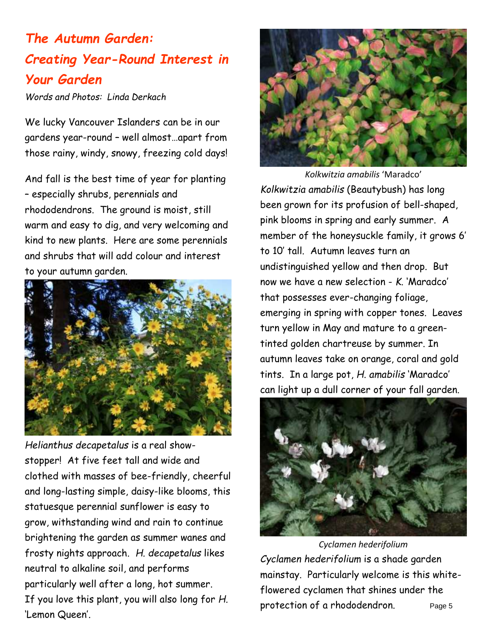## *The Autumn Garden: Creating Year-Round Interest in Your Garden*

*Words and Photos: Linda Derkach*

We lucky Vancouver Islanders can be in our gardens year-round – well almost…apart from those rainy, windy, snowy, freezing cold days!

And fall is the best time of year for planting – especially shrubs, perennials and rhododendrons. The ground is moist, still warm and easy to dig, and very welcoming and kind to new plants. Here are some perennials and shrubs that will add colour and interest to your autumn garden.



*Helianthus decapetalus* is a real showstopper! At five feet tall and wide and clothed with masses of bee-friendly, cheerful and long-lasting simple, daisy-like blooms, this statuesque perennial sunflower is easy to grow, withstanding wind and rain to continue brightening the garden as summer wanes and frosty nights approach. *H. decapetalus* likes neutral to alkaline soil, and performs particularly well after a long, hot summer. If you love this plant, you will also long for *H.* 'Lemon Queen'.



*Kolkwitzia amabilis* 'Maradco' *Kolkwitzia amabilis* (Beautybush) has long been grown for its profusion of bell-shaped, pink blooms in spring and early summer. A member of the honeysuckle family, it grows 6' to 10' tall. Autumn leaves turn an undistinguished yellow and then drop. But now we have a new selection - *K*. 'Maradco' that possesses ever-changing foliage, emerging in spring with copper tones. Leaves turn yellow in May and mature to a greentinted golden chartreuse by summer. In autumn leaves take on orange, coral and gold tints. In a large pot, *H*. *amabilis* 'Maradco' can light up a dull corner of your fall garden.



*Cyclamen hederifolium Cyclamen hederifolium* is a shade garden mainstay. Particularly welcome is this whiteflowered cyclamen that shines under the protection of a rhododendron. Page 5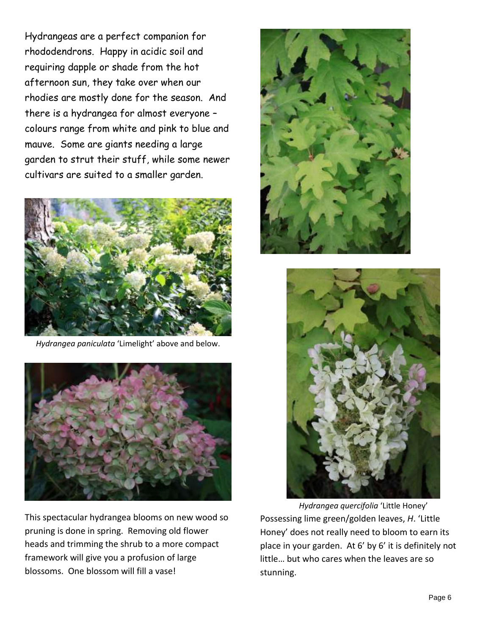Hydrangeas are a perfect companion for rhododendrons. Happy in acidic soil and requiring dapple or shade from the hot afternoon sun, they take over when our rhodies are mostly done for the season. And there is a hydrangea for almost everyone – colours range from white and pink to blue and mauve. Some are giants needing a large garden to strut their stuff, while some newer cultivars are suited to a smaller garden.



*Hydrangea paniculata* 'Limelight' above and below.



This spectacular hydrangea blooms on new wood so pruning is done in spring. Removing old flower heads and trimming the shrub to a more compact framework will give you a profusion of large blossoms. One blossom will fill a vase!





*Hydrangea quercifolia* 'Little Honey' Possessing lime green/golden leaves, *H*. 'Little Honey' does not really need to bloom to earn its place in your garden. At 6' by 6' it is definitely not little… but who cares when the leaves are so stunning.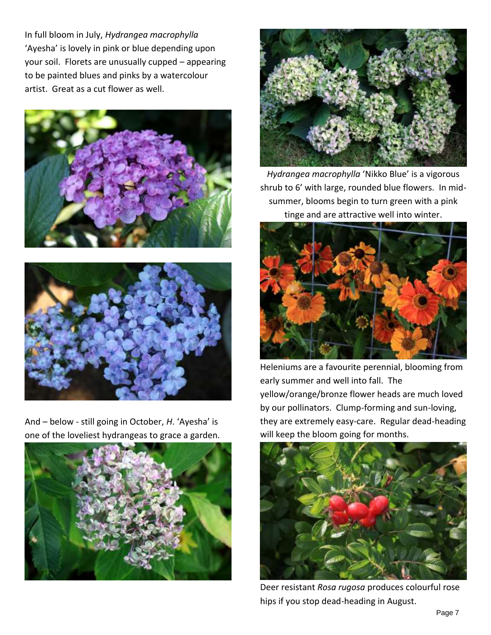In full bloom in July, *Hydrangea macrophylla* 'Ayesha' is lovely in pink or blue depending upon your soil. Florets are unusually cupped – appearing to be painted blues and pinks by a watercolour artist. Great as a cut flower as well.





And – below - still going in October, *H*. 'Ayesha' is one of the loveliest hydrangeas to grace a garden.





*Hydrangea macrophylla* 'Nikko Blue' is a vigorous shrub to 6' with large, rounded blue flowers. In midsummer, blooms begin to turn green with a pink tinge and are attractive well into winter.



Heleniums are a favourite perennial, blooming from early summer and well into fall. The yellow/orange/bronze flower heads are much loved by our pollinators. Clump-forming and sun-loving, they are extremely easy-care. Regular dead-heading will keep the bloom going for months.



Deer resistant *Rosa rugosa* produces colourful rose hips if you stop dead-heading in August.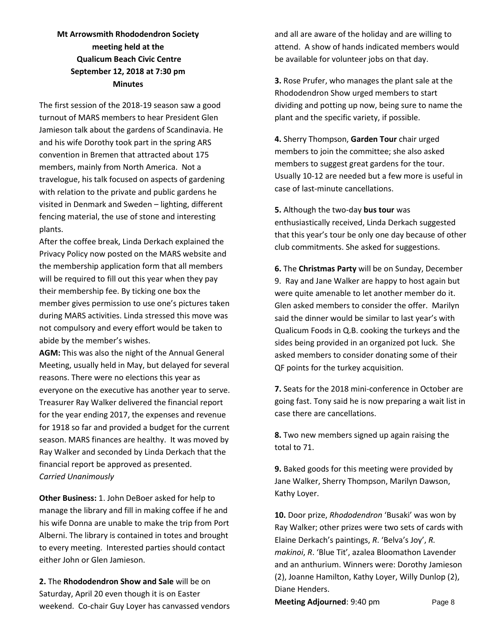### **Mt Arrowsmith Rhododendron Society meeting held at the Qualicum Beach Civic Centre September 12, 2018 at 7:30 pm Minutes**

The first session of the 2018-19 season saw a good turnout of MARS members to hear President Glen Jamieson talk about the gardens of Scandinavia. He and his wife Dorothy took part in the spring ARS convention in Bremen that attracted about 175 members, mainly from North America. Not a travelogue, his talk focused on aspects of gardening with relation to the private and public gardens he visited in Denmark and Sweden – lighting, different fencing material, the use of stone and interesting plants.

After the coffee break, Linda Derkach explained the Privacy Policy now posted on the MARS website and the membership application form that all members will be required to fill out this year when they pay their membership fee. By ticking one box the member gives permission to use one's pictures taken during MARS activities. Linda stressed this move was not compulsory and every effort would be taken to abide by the member's wishes.

**AGM:** This was also the night of the Annual General Meeting, usually held in May, but delayed for several reasons. There were no elections this year as everyone on the executive has another year to serve. Treasurer Ray Walker delivered the financial report for the year ending 2017, the expenses and revenue for 1918 so far and provided a budget for the current season. MARS finances are healthy. It was moved by Ray Walker and seconded by Linda Derkach that the financial report be approved as presented. *Carried Unanimously*

**Other Business:** 1. John DeBoer asked for help to manage the library and fill in making coffee if he and his wife Donna are unable to make the trip from Port Alberni. The library is contained in totes and brought to every meeting. Interested parties should contact either John or Glen Jamieson.

**2.** The **Rhododendron Show and Sale** will be on Saturday, April 20 even though it is on Easter weekend. Co-chair Guy Loyer has canvassed vendors and all are aware of the holiday and are willing to attend. A show of hands indicated members would be available for volunteer jobs on that day.

**3.** Rose Prufer, who manages the plant sale at the Rhododendron Show urged members to start dividing and potting up now, being sure to name the plant and the specific variety, if possible.

**4.** Sherry Thompson, **Garden Tour** chair urged members to join the committee; she also asked members to suggest great gardens for the tour. Usually 10-12 are needed but a few more is useful in case of last-minute cancellations.

**5.** Although the two-day **bus tour** was

enthusiastically received, Linda Derkach suggested that this year's tour be only one day because of other club commitments. She asked for suggestions.

**6.** The **Christmas Party** will be on Sunday, December 9. Ray and Jane Walker are happy to host again but were quite amenable to let another member do it. Glen asked members to consider the offer. Marilyn said the dinner would be similar to last year's with Qualicum Foods in Q.B. cooking the turkeys and the sides being provided in an organized pot luck. She asked members to consider donating some of their QF points for the turkey acquisition.

**7.** Seats for the 2018 mini-conference in October are going fast. Tony said he is now preparing a wait list in case there are cancellations.

**8.** Two new members signed up again raising the total to 71.

**9.** Baked goods for this meeting were provided by Jane Walker, Sherry Thompson, Marilyn Dawson, Kathy Loyer.

**10.** Door prize, *Rhododendron* 'Busaki' was won by Ray Walker; other prizes were two sets of cards with Elaine Derkach's paintings, *R*. 'Belva's Joy', *R. makinoi*, *R*. 'Blue Tit', azalea Bloomathon Lavender and an anthurium. Winners were: Dorothy Jamieson (2), Joanne Hamilton, Kathy Loyer, Willy Dunlop (2), Diane Henders.

**Meeting Adjourned: 9:40 pm Page 8**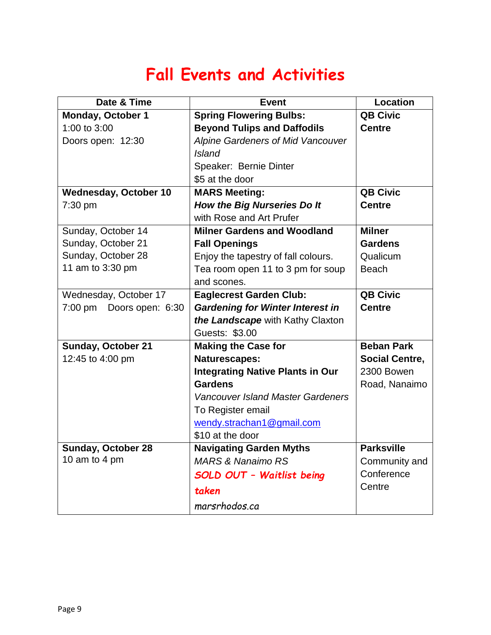## **Fall Events and Activities**

| Date & Time                  | <b>Event</b>                             | <b>Location</b>       |
|------------------------------|------------------------------------------|-----------------------|
| <b>Monday, October 1</b>     | <b>Spring Flowering Bulbs:</b>           | <b>QB Civic</b>       |
| 1:00 to 3:00                 | <b>Beyond Tulips and Daffodils</b>       | <b>Centre</b>         |
| Doors open: 12:30            | <b>Alpine Gardeners of Mid Vancouver</b> |                       |
|                              | <b>Island</b>                            |                       |
|                              | Speaker: Bernie Dinter                   |                       |
|                              | \$5 at the door                          |                       |
| <b>Wednesday, October 10</b> | <b>MARS Meeting:</b>                     | <b>QB Civic</b>       |
| 7:30 pm                      | <b>How the Big Nurseries Do It</b>       | <b>Centre</b>         |
|                              | with Rose and Art Prufer                 |                       |
| Sunday, October 14           | <b>Milner Gardens and Woodland</b>       | <b>Milner</b>         |
| Sunday, October 21           | <b>Fall Openings</b>                     | <b>Gardens</b>        |
| Sunday, October 28           | Enjoy the tapestry of fall colours.      | Qualicum              |
| 11 am to 3:30 pm             | Tea room open 11 to 3 pm for soup        | <b>Beach</b>          |
|                              | and scones.                              |                       |
| Wednesday, October 17        | <b>Eaglecrest Garden Club:</b>           | <b>QB Civic</b>       |
| 7:00 pm Doors open: 6:30     | <b>Gardening for Winter Interest in</b>  | <b>Centre</b>         |
|                              | the Landscape with Kathy Claxton         |                       |
|                              | Guests: \$3.00                           |                       |
| <b>Sunday, October 21</b>    | <b>Making the Case for</b>               | <b>Beban Park</b>     |
| 12:45 to 4:00 pm             | Naturescapes:                            | <b>Social Centre,</b> |
|                              | <b>Integrating Native Plants in Our</b>  | 2300 Bowen            |
|                              | <b>Gardens</b>                           | Road, Nanaimo         |
|                              | <b>Vancouver Island Master Gardeners</b> |                       |
|                              | To Register email                        |                       |
|                              | wendy.strachan1@gmail.com                |                       |
|                              | \$10 at the door                         |                       |
| <b>Sunday, October 28</b>    | <b>Navigating Garden Myths</b>           | <b>Parksville</b>     |
| 10 am to 4 pm                | <b>MARS &amp; Nanaimo RS</b>             | Community and         |
|                              | SOLD OUT - Waitlist being                | Conference            |
|                              | taken                                    | Centre                |
|                              | marsrhodos.ca                            |                       |